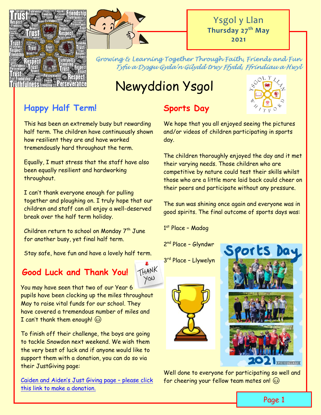



*Growing & Learning Together Through Faith, Friends and Fun Tyfu a Dysgu Gyda'n Gilydd trwy Ffydd, Ffrindiau a Hwyl* 

# Newyddion Ysgol

### **Happy Half Term!**

This has been an extremely busy but rewarding half term. The children have continuously shown how resilient they are and have worked tremendously hard throughout the term.

Equally, I must stress that the staff have also been equally resilient and hardworking throughout.

I can't thank everyone enough for pulling together and ploughing on. I truly hope that our children and staff can all enjoy a well-deserved break over the half term holiday.

Children return to school on Monday 7<sup>th</sup> June for another busy, yet final half term.

Stay safe, have fun and have a lovely half term.

### **Good Luck and Thank You!**



You may have seen that two of our Year 6 pupils have been clocking up the miles throughout May to raise vital funds for our school. They have covered a tremendous number of miles and I can't thank them enough!  $\circledS$ 

To finish off their challenge, the boys are going to tackle Snowdon next weekend. We wish them the very best of luck and if anyone would like to support them with a donation, you can do so via their JustGiving page:

Caiden and Aiden['s Just Giving page –](https://www.justgiving.com/crowdfunding/clare-baker-3?fbclid=IwAR28DFJdfJAkmVxytnHRrechZmzR-QNPO3ayi_oD3Rr05A4aV3R3IPjOOB4) please click [this link to make a donation.](https://www.justgiving.com/crowdfunding/clare-baker-3?fbclid=IwAR28DFJdfJAkmVxytnHRrechZmzR-QNPO3ayi_oD3Rr05A4aV3R3IPjOOB4)

## **Sports Day**



We hope that you all enjoyed seeing the pictures and/or videos of children participating in sports day.

The children thoroughly enjoyed the day and it met their varying needs. Those children who are competitive by nature could test their skills whilst those who are a little more laid back could cheer on their peers and participate without any pressure.

The sun was shining once again and everyone was in good spirits. The final outcome of sports days was:

1 st Place – Madog

2<sup>nd</sup> Place - Glyndwr

3 rd Place – Llywelyn





Well done to everyone for participating so well and for cheering your fellow team mates on!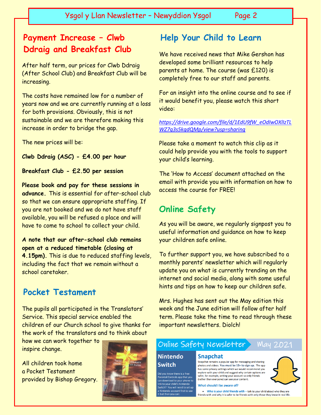### **Payment Increase – Clwb Ddraig and Breakfast Club**

After half term, our prices for Clwb Ddraig (After School Club) and Breakfast Club will be increasing.

The costs have remained low for a number of years now and we are currently running at a loss for both provisions. Obviously, this is not sustainable and we are therefore making this increase in order to bridge the gap.

The new prices will be:

**Clwb Ddraig (ASC) - £4.00 per hour**

**Breakfast Club - £2.50 per session**

**Please book and pay for these sessions in advance.** This is essential for after-school club so that we can ensure appropriate staffing. If you are not booked and we do not have staff available, you will be refused a place and will have to come to school to collect your child.

**A note that our after-school club remains open at a reduced timetable (closing at 4.15pm).** This is due to reduced staffing levels, including the fact that we remain without a school caretaker.

#### **Pocket Testament**

The pupils all participated in the Translators' Service. This special service enabled the children of our Church school to give thanks for the work of the translators and to think about

how we can work together to inspire change.

All children took home a Pocket Testament provided by Bishop Gregory.



#### **Help Your Child to Learn**

We have received news that Mike Gershon has developed some brilliant resources to help parents at home. The course (was £120) is completely free to our staff and parents.

For an insight into the online course and to see if it would benefit you, please watch this short video:

*[https://drive.google.com/file/d/1EdU9fW\\_eOdIwOXlIzTL](https://drive.google.com/file/d/1EdU9fW_eOdIwOXlIzTLWZ7g3s5kqdQMp/view?usp=sharing) [WZ7g3s5kqdQMp/view?usp=sharing](https://drive.google.com/file/d/1EdU9fW_eOdIwOXlIzTLWZ7g3s5kqdQMp/view?usp=sharing)*

Please take a moment to watch this clip as it could help provide you with the tools to support your child's learning.

The 'How to Access' document attached on the email with provide you with information on how to access the course for FREE!

### **Online Safety**

As you will be aware, we regularly signpost you to useful information and guidance on how to keep your children safe online.

To further support you, we have subscribed to a monthly parents' newsletter which will regularly update you on what is currently trending on the internet and social media, along with some useful hints and tips on how to keep our children safe.

Mrs. Hughes has sent out the May edition this week and the June edition will follow after half term. Please take the time to read through these important newsletters. Diolch!

#### Online Safety Newsletter **May 2021**

#### **Nintendo Snapchat**

**Switch** Did you know there is a free Parental Controls app that you can download to your phone to ink to your child's Nintendo 

Snapchat remains a popular app for messaging and sharing photos and videos. You must be 13+ to sign up. The app has some privacy settings which we would recommend you<br>explore with your child and suggest why certain options are safer, for example, setting your account so only friends (rather than everyone) can see your content.

#### What should I be aware of?

• Who is your child friends with - talk to your child about who they are friends with and why it is safer to be friends with only those they know in real life.

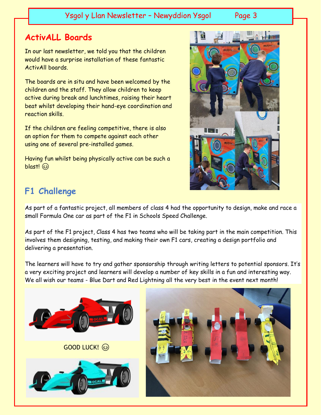Ysgol y Llan Newsletter - Newyddion Ysgol Page 3

### **ActivALL Boards**

In our last newsletter, we told you that the children would have a surprise installation of these fantastic ActivAll boards.

The boards are in situ and have been welcomed by the children and the staff. They allow children to keep active during break and lunchtimes, raising their heart beat whilst developing their hand-eye coordination and reaction skills.

If the children are feeling competitive, there is also an option for them to compete against each other using one of several pre-installed games.

Having fun whilst being physically active can be such a blast!



### **F1 Challenge**

As part of a fantastic project, all members of class 4 had the opportunity to design, make and race a small Formula One car as part of the F1 in Schools Speed Challenge.

As part of the F1 project, Class 4 has two teams who will be taking part in the main competition. This involves them designing, testing, and making their own F1 cars, creating a design portfolio and delivering a presentation.

The learners will have to try and gather sponsorship through writing letters to potential sponsors. It's a very exciting project and learners will develop a number of key skills in a fun and interesting way. We all wish our teams - Blue Dart and Red Lightning all the very best in the event next month!